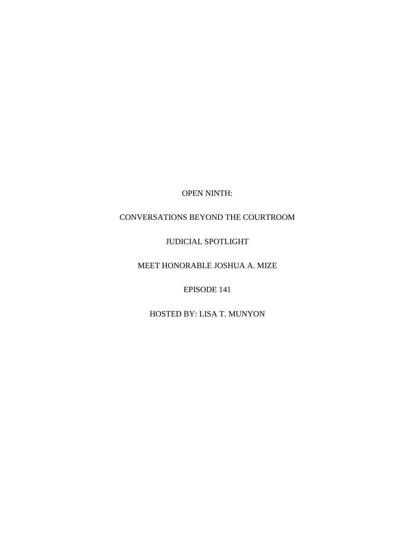OPEN NINTH:

## CONVERSATIONS BEYOND THE COURTROOM

## JUDICIAL SPOTLIGHT

MEET HONORABLE JOSHUA A. MIZE

EPISODE 141

HOSTED BY: LISA T. MUNYON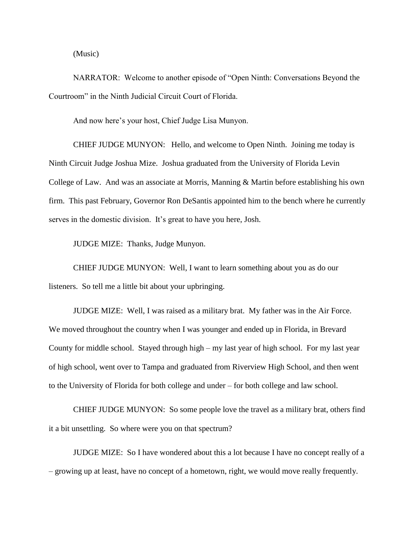(Music)

NARRATOR: Welcome to another episode of "Open Ninth: Conversations Beyond the Courtroom" in the Ninth Judicial Circuit Court of Florida.

And now here's your host, Chief Judge Lisa Munyon.

CHIEF JUDGE MUNYON: Hello, and welcome to Open Ninth. Joining me today is Ninth Circuit Judge Joshua Mize. Joshua graduated from the University of Florida Levin College of Law. And was an associate at Morris, Manning & Martin before establishing his own firm. This past February, Governor Ron DeSantis appointed him to the bench where he currently serves in the domestic division. It's great to have you here, Josh.

JUDGE MIZE: Thanks, Judge Munyon.

CHIEF JUDGE MUNYON: Well, I want to learn something about you as do our listeners. So tell me a little bit about your upbringing.

JUDGE MIZE: Well, I was raised as a military brat. My father was in the Air Force. We moved throughout the country when I was younger and ended up in Florida, in Brevard County for middle school. Stayed through high – my last year of high school. For my last year of high school, went over to Tampa and graduated from Riverview High School, and then went to the University of Florida for both college and under – for both college and law school.

CHIEF JUDGE MUNYON: So some people love the travel as a military brat, others find it a bit unsettling. So where were you on that spectrum?

JUDGE MIZE: So I have wondered about this a lot because I have no concept really of a – growing up at least, have no concept of a hometown, right, we would move really frequently.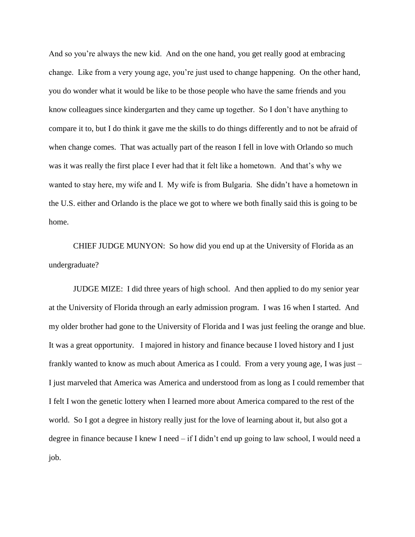And so you're always the new kid. And on the one hand, you get really good at embracing change. Like from a very young age, you're just used to change happening. On the other hand, you do wonder what it would be like to be those people who have the same friends and you know colleagues since kindergarten and they came up together. So I don't have anything to compare it to, but I do think it gave me the skills to do things differently and to not be afraid of when change comes. That was actually part of the reason I fell in love with Orlando so much was it was really the first place I ever had that it felt like a hometown. And that's why we wanted to stay here, my wife and I. My wife is from Bulgaria. She didn't have a hometown in the U.S. either and Orlando is the place we got to where we both finally said this is going to be home.

CHIEF JUDGE MUNYON: So how did you end up at the University of Florida as an undergraduate?

JUDGE MIZE: I did three years of high school. And then applied to do my senior year at the University of Florida through an early admission program. I was 16 when I started. And my older brother had gone to the University of Florida and I was just feeling the orange and blue. It was a great opportunity. I majored in history and finance because I loved history and I just frankly wanted to know as much about America as I could. From a very young age, I was just – I just marveled that America was America and understood from as long as I could remember that I felt I won the genetic lottery when I learned more about America compared to the rest of the world. So I got a degree in history really just for the love of learning about it, but also got a degree in finance because I knew I need – if I didn't end up going to law school, I would need a job.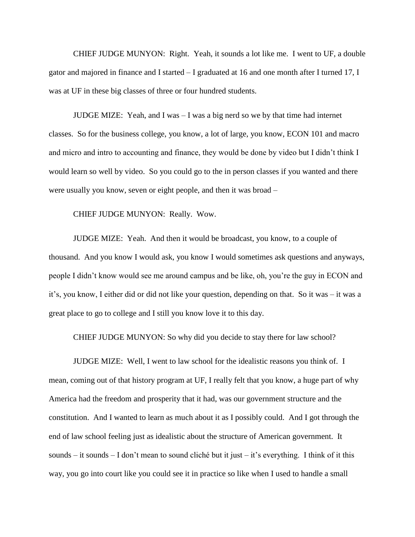CHIEF JUDGE MUNYON: Right. Yeah, it sounds a lot like me. I went to UF, a double gator and majored in finance and I started – I graduated at 16 and one month after I turned 17, I was at UF in these big classes of three or four hundred students.

JUDGE MIZE: Yeah, and I was – I was a big nerd so we by that time had internet classes. So for the business college, you know, a lot of large, you know, ECON 101 and macro and micro and intro to accounting and finance, they would be done by video but I didn't think I would learn so well by video. So you could go to the in person classes if you wanted and there were usually you know, seven or eight people, and then it was broad –

CHIEF JUDGE MUNYON: Really. Wow.

JUDGE MIZE: Yeah. And then it would be broadcast, you know, to a couple of thousand. And you know I would ask, you know I would sometimes ask questions and anyways, people I didn't know would see me around campus and be like, oh, you're the guy in ECON and it's, you know, I either did or did not like your question, depending on that. So it was – it was a great place to go to college and I still you know love it to this day.

CHIEF JUDGE MUNYON: So why did you decide to stay there for law school?

JUDGE MIZE: Well, I went to law school for the idealistic reasons you think of. I mean, coming out of that history program at UF, I really felt that you know, a huge part of why America had the freedom and prosperity that it had, was our government structure and the constitution. And I wanted to learn as much about it as I possibly could. And I got through the end of law school feeling just as idealistic about the structure of American government. It sounds – it sounds – I don't mean to sound cliché but it just – it's everything. I think of it this way, you go into court like you could see it in practice so like when I used to handle a small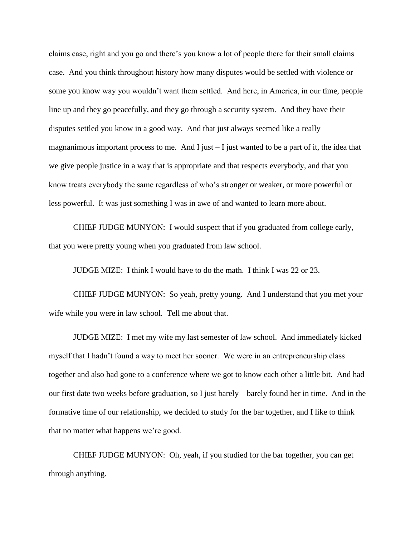claims case, right and you go and there's you know a lot of people there for their small claims case. And you think throughout history how many disputes would be settled with violence or some you know way you wouldn't want them settled. And here, in America, in our time, people line up and they go peacefully, and they go through a security system. And they have their disputes settled you know in a good way. And that just always seemed like a really magnanimous important process to me. And I just  $-I$  just wanted to be a part of it, the idea that we give people justice in a way that is appropriate and that respects everybody, and that you know treats everybody the same regardless of who's stronger or weaker, or more powerful or less powerful. It was just something I was in awe of and wanted to learn more about.

CHIEF JUDGE MUNYON: I would suspect that if you graduated from college early, that you were pretty young when you graduated from law school.

JUDGE MIZE: I think I would have to do the math. I think I was 22 or 23.

CHIEF JUDGE MUNYON: So yeah, pretty young. And I understand that you met your wife while you were in law school. Tell me about that.

JUDGE MIZE: I met my wife my last semester of law school. And immediately kicked myself that I hadn't found a way to meet her sooner. We were in an entrepreneurship class together and also had gone to a conference where we got to know each other a little bit. And had our first date two weeks before graduation, so I just barely – barely found her in time. And in the formative time of our relationship, we decided to study for the bar together, and I like to think that no matter what happens we're good.

CHIEF JUDGE MUNYON: Oh, yeah, if you studied for the bar together, you can get through anything.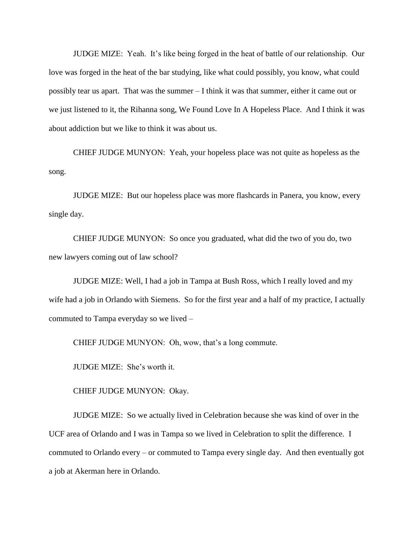JUDGE MIZE: Yeah. It's like being forged in the heat of battle of our relationship. Our love was forged in the heat of the bar studying, like what could possibly, you know, what could possibly tear us apart. That was the summer – I think it was that summer, either it came out or we just listened to it, the Rihanna song, We Found Love In A Hopeless Place. And I think it was about addiction but we like to think it was about us.

CHIEF JUDGE MUNYON: Yeah, your hopeless place was not quite as hopeless as the song.

JUDGE MIZE: But our hopeless place was more flashcards in Panera, you know, every single day.

CHIEF JUDGE MUNYON: So once you graduated, what did the two of you do, two new lawyers coming out of law school?

JUDGE MIZE: Well, I had a job in Tampa at Bush Ross, which I really loved and my wife had a job in Orlando with Siemens. So for the first year and a half of my practice, I actually commuted to Tampa everyday so we lived –

CHIEF JUDGE MUNYON: Oh, wow, that's a long commute.

JUDGE MIZE: She's worth it.

CHIEF JUDGE MUNYON: Okay.

JUDGE MIZE: So we actually lived in Celebration because she was kind of over in the UCF area of Orlando and I was in Tampa so we lived in Celebration to split the difference. I commuted to Orlando every – or commuted to Tampa every single day. And then eventually got a job at Akerman here in Orlando.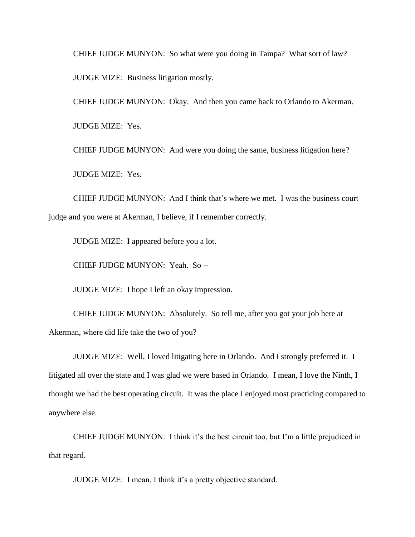CHIEF JUDGE MUNYON: So what were you doing in Tampa? What sort of law? JUDGE MIZE: Business litigation mostly.

CHIEF JUDGE MUNYON: Okay. And then you came back to Orlando to Akerman. JUDGE MIZE: Yes.

CHIEF JUDGE MUNYON: And were you doing the same, business litigation here? JUDGE MIZE: Yes.

CHIEF JUDGE MUNYON: And I think that's where we met. I was the business court judge and you were at Akerman, I believe, if I remember correctly.

JUDGE MIZE: I appeared before you a lot.

CHIEF JUDGE MUNYON: Yeah. So --

JUDGE MIZE: I hope I left an okay impression.

CHIEF JUDGE MUNYON: Absolutely. So tell me, after you got your job here at Akerman, where did life take the two of you?

JUDGE MIZE: Well, I loved litigating here in Orlando. And I strongly preferred it. I litigated all over the state and I was glad we were based in Orlando. I mean, I love the Ninth, I thought we had the best operating circuit. It was the place I enjoyed most practicing compared to anywhere else.

CHIEF JUDGE MUNYON: I think it's the best circuit too, but I'm a little prejudiced in that regard.

JUDGE MIZE: I mean, I think it's a pretty objective standard.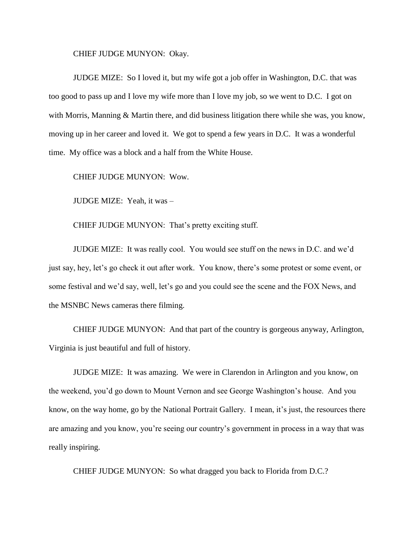CHIEF JUDGE MUNYON: Okay.

JUDGE MIZE: So I loved it, but my wife got a job offer in Washington, D.C. that was too good to pass up and I love my wife more than I love my job, so we went to D.C. I got on with Morris, Manning & Martin there, and did business litigation there while she was, you know, moving up in her career and loved it. We got to spend a few years in D.C. It was a wonderful time. My office was a block and a half from the White House.

CHIEF JUDGE MUNYON: Wow.

JUDGE MIZE: Yeah, it was –

CHIEF JUDGE MUNYON: That's pretty exciting stuff.

JUDGE MIZE: It was really cool. You would see stuff on the news in D.C. and we'd just say, hey, let's go check it out after work. You know, there's some protest or some event, or some festival and we'd say, well, let's go and you could see the scene and the FOX News, and the MSNBC News cameras there filming.

CHIEF JUDGE MUNYON: And that part of the country is gorgeous anyway, Arlington, Virginia is just beautiful and full of history.

JUDGE MIZE: It was amazing. We were in Clarendon in Arlington and you know, on the weekend, you'd go down to Mount Vernon and see George Washington's house. And you know, on the way home, go by the National Portrait Gallery. I mean, it's just, the resources there are amazing and you know, you're seeing our country's government in process in a way that was really inspiring.

CHIEF JUDGE MUNYON: So what dragged you back to Florida from D.C.?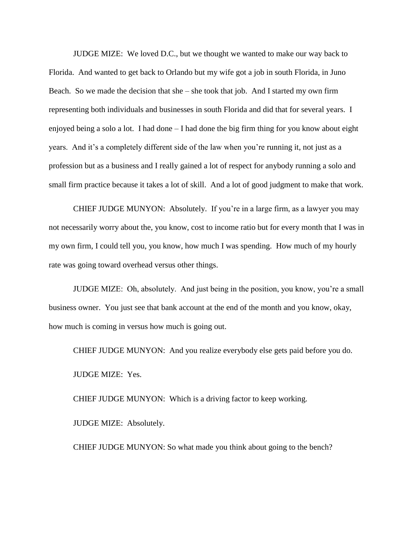JUDGE MIZE: We loved D.C., but we thought we wanted to make our way back to Florida. And wanted to get back to Orlando but my wife got a job in south Florida, in Juno Beach. So we made the decision that she – she took that job. And I started my own firm representing both individuals and businesses in south Florida and did that for several years. I enjoyed being a solo a lot. I had done – I had done the big firm thing for you know about eight years. And it's a completely different side of the law when you're running it, not just as a profession but as a business and I really gained a lot of respect for anybody running a solo and small firm practice because it takes a lot of skill. And a lot of good judgment to make that work.

CHIEF JUDGE MUNYON: Absolutely. If you're in a large firm, as a lawyer you may not necessarily worry about the, you know, cost to income ratio but for every month that I was in my own firm, I could tell you, you know, how much I was spending. How much of my hourly rate was going toward overhead versus other things.

JUDGE MIZE: Oh, absolutely. And just being in the position, you know, you're a small business owner. You just see that bank account at the end of the month and you know, okay, how much is coming in versus how much is going out.

CHIEF JUDGE MUNYON: And you realize everybody else gets paid before you do. JUDGE MIZE: Yes.

CHIEF JUDGE MUNYON: Which is a driving factor to keep working.

JUDGE MIZE: Absolutely.

CHIEF JUDGE MUNYON: So what made you think about going to the bench?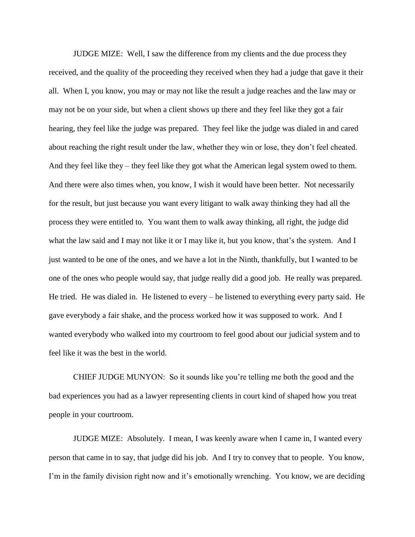JUDGE MIZE: Well, I saw the difference from my clients and the due process they received, and the quality of the proceeding they received when they had a judge that gave it their all. When I, you know, you may or may not like the result a judge reaches and the law may or may not be on your side, but when a client shows up there and they feel like they got a fair hearing, they feel like the judge was prepared. They feel like the judge was dialed in and cared about reaching the right result under the law, whether they win or lose, they don't feel cheated. And they feel like they – they feel like they got what the American legal system owed to them. And there were also times when, you know, I wish it would have been better. Not necessarily for the result, but just because you want every litigant to walk away thinking they had all the process they were entitled to. You want them to walk away thinking, all right, the judge did what the law said and I may not like it or I may like it, but you know, that's the system. And I just wanted to be one of the ones, and we have a lot in the Ninth, thankfully, but I wanted to be one of the ones who people would say, that judge really did a good job. He really was prepared. He tried. He was dialed in. He listened to every – he listened to everything every party said. He gave everybody a fair shake, and the process worked how it was supposed to work. And I wanted everybody who walked into my courtroom to feel good about our judicial system and to feel like it was the best in the world.

CHIEF JUDGE MUNYON: So it sounds like you're telling me both the good and the bad experiences you had as a lawyer representing clients in court kind of shaped how you treat people in your courtroom.

JUDGE MIZE: Absolutely. I mean, I was keenly aware when I came in, I wanted every person that came in to say, that judge did his job. And I try to convey that to people. You know, I'm in the family division right now and it's emotionally wrenching. You know, we are deciding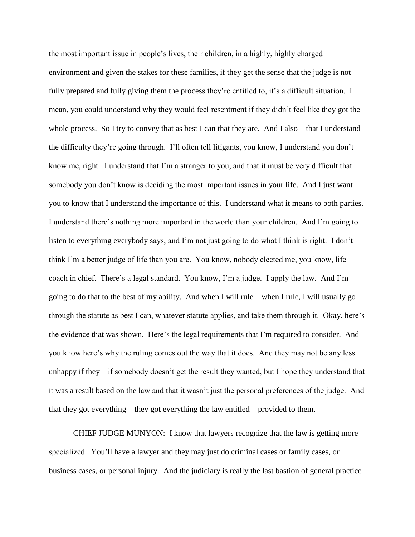the most important issue in people's lives, their children, in a highly, highly charged environment and given the stakes for these families, if they get the sense that the judge is not fully prepared and fully giving them the process they're entitled to, it's a difficult situation. I mean, you could understand why they would feel resentment if they didn't feel like they got the whole process. So I try to convey that as best I can that they are. And I also – that I understand the difficulty they're going through. I'll often tell litigants, you know, I understand you don't know me, right. I understand that I'm a stranger to you, and that it must be very difficult that somebody you don't know is deciding the most important issues in your life. And I just want you to know that I understand the importance of this. I understand what it means to both parties. I understand there's nothing more important in the world than your children. And I'm going to listen to everything everybody says, and I'm not just going to do what I think is right. I don't think I'm a better judge of life than you are. You know, nobody elected me, you know, life coach in chief. There's a legal standard. You know, I'm a judge. I apply the law. And I'm going to do that to the best of my ability. And when I will rule – when I rule, I will usually go through the statute as best I can, whatever statute applies, and take them through it. Okay, here's the evidence that was shown. Here's the legal requirements that I'm required to consider. And you know here's why the ruling comes out the way that it does. And they may not be any less unhappy if they – if somebody doesn't get the result they wanted, but I hope they understand that it was a result based on the law and that it wasn't just the personal preferences of the judge. And that they got everything – they got everything the law entitled – provided to them.

CHIEF JUDGE MUNYON: I know that lawyers recognize that the law is getting more specialized. You'll have a lawyer and they may just do criminal cases or family cases, or business cases, or personal injury. And the judiciary is really the last bastion of general practice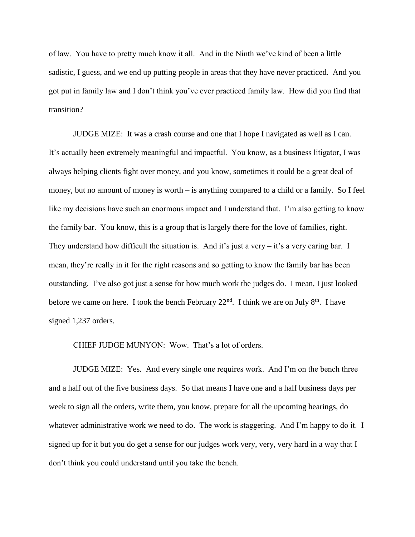of law. You have to pretty much know it all. And in the Ninth we've kind of been a little sadistic, I guess, and we end up putting people in areas that they have never practiced. And you got put in family law and I don't think you've ever practiced family law. How did you find that transition?

JUDGE MIZE: It was a crash course and one that I hope I navigated as well as I can. It's actually been extremely meaningful and impactful. You know, as a business litigator, I was always helping clients fight over money, and you know, sometimes it could be a great deal of money, but no amount of money is worth – is anything compared to a child or a family. So I feel like my decisions have such an enormous impact and I understand that. I'm also getting to know the family bar. You know, this is a group that is largely there for the love of families, right. They understand how difficult the situation is. And it's just a very – it's a very caring bar. I mean, they're really in it for the right reasons and so getting to know the family bar has been outstanding. I've also got just a sense for how much work the judges do. I mean, I just looked before we came on here. I took the bench February  $22<sup>nd</sup>$ . I think we are on July  $8<sup>th</sup>$ . I have signed 1,237 orders.

CHIEF JUDGE MUNYON: Wow. That's a lot of orders.

JUDGE MIZE: Yes. And every single one requires work. And I'm on the bench three and a half out of the five business days. So that means I have one and a half business days per week to sign all the orders, write them, you know, prepare for all the upcoming hearings, do whatever administrative work we need to do. The work is staggering. And I'm happy to do it. I signed up for it but you do get a sense for our judges work very, very, very hard in a way that I don't think you could understand until you take the bench.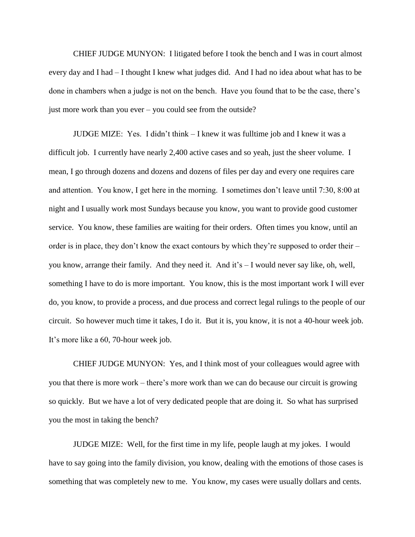CHIEF JUDGE MUNYON: I litigated before I took the bench and I was in court almost every day and I had – I thought I knew what judges did. And I had no idea about what has to be done in chambers when a judge is not on the bench. Have you found that to be the case, there's just more work than you ever – you could see from the outside?

JUDGE MIZE: Yes. I didn't think – I knew it was fulltime job and I knew it was a difficult job. I currently have nearly 2,400 active cases and so yeah, just the sheer volume. I mean, I go through dozens and dozens and dozens of files per day and every one requires care and attention. You know, I get here in the morning. I sometimes don't leave until 7:30, 8:00 at night and I usually work most Sundays because you know, you want to provide good customer service. You know, these families are waiting for their orders. Often times you know, until an order is in place, they don't know the exact contours by which they're supposed to order their – you know, arrange their family. And they need it. And it's – I would never say like, oh, well, something I have to do is more important. You know, this is the most important work I will ever do, you know, to provide a process, and due process and correct legal rulings to the people of our circuit. So however much time it takes, I do it. But it is, you know, it is not a 40-hour week job. It's more like a 60, 70-hour week job.

CHIEF JUDGE MUNYON: Yes, and I think most of your colleagues would agree with you that there is more work – there's more work than we can do because our circuit is growing so quickly. But we have a lot of very dedicated people that are doing it. So what has surprised you the most in taking the bench?

JUDGE MIZE: Well, for the first time in my life, people laugh at my jokes. I would have to say going into the family division, you know, dealing with the emotions of those cases is something that was completely new to me. You know, my cases were usually dollars and cents.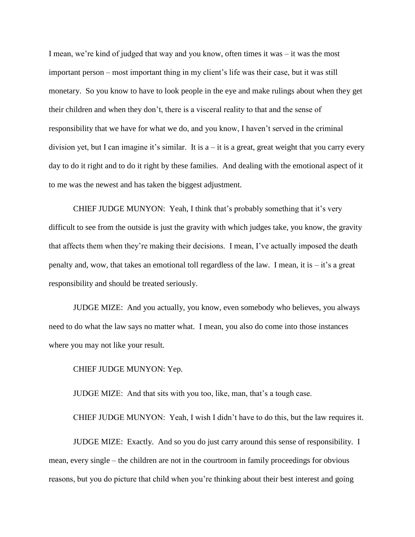I mean, we're kind of judged that way and you know, often times it was – it was the most important person – most important thing in my client's life was their case, but it was still monetary. So you know to have to look people in the eye and make rulings about when they get their children and when they don't, there is a visceral reality to that and the sense of responsibility that we have for what we do, and you know, I haven't served in the criminal division yet, but I can imagine it's similar. It is  $a - it$  is a great, great weight that you carry every day to do it right and to do it right by these families. And dealing with the emotional aspect of it to me was the newest and has taken the biggest adjustment.

CHIEF JUDGE MUNYON: Yeah, I think that's probably something that it's very difficult to see from the outside is just the gravity with which judges take, you know, the gravity that affects them when they're making their decisions. I mean, I've actually imposed the death penalty and, wow, that takes an emotional toll regardless of the law. I mean, it is  $-$  it's a great responsibility and should be treated seriously.

JUDGE MIZE: And you actually, you know, even somebody who believes, you always need to do what the law says no matter what. I mean, you also do come into those instances where you may not like your result.

CHIEF JUDGE MUNYON: Yep.

JUDGE MIZE: And that sits with you too, like, man, that's a tough case.

CHIEF JUDGE MUNYON: Yeah, I wish I didn't have to do this, but the law requires it.

JUDGE MIZE: Exactly. And so you do just carry around this sense of responsibility. I mean, every single – the children are not in the courtroom in family proceedings for obvious reasons, but you do picture that child when you're thinking about their best interest and going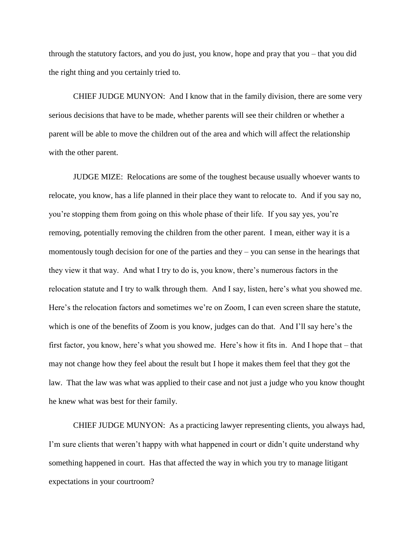through the statutory factors, and you do just, you know, hope and pray that you – that you did the right thing and you certainly tried to.

CHIEF JUDGE MUNYON: And I know that in the family division, there are some very serious decisions that have to be made, whether parents will see their children or whether a parent will be able to move the children out of the area and which will affect the relationship with the other parent.

JUDGE MIZE: Relocations are some of the toughest because usually whoever wants to relocate, you know, has a life planned in their place they want to relocate to. And if you say no, you're stopping them from going on this whole phase of their life. If you say yes, you're removing, potentially removing the children from the other parent. I mean, either way it is a momentously tough decision for one of the parties and they – you can sense in the hearings that they view it that way. And what I try to do is, you know, there's numerous factors in the relocation statute and I try to walk through them. And I say, listen, here's what you showed me. Here's the relocation factors and sometimes we're on Zoom, I can even screen share the statute, which is one of the benefits of Zoom is you know, judges can do that. And I'll say here's the first factor, you know, here's what you showed me. Here's how it fits in. And I hope that – that may not change how they feel about the result but I hope it makes them feel that they got the law. That the law was what was applied to their case and not just a judge who you know thought he knew what was best for their family.

CHIEF JUDGE MUNYON: As a practicing lawyer representing clients, you always had, I'm sure clients that weren't happy with what happened in court or didn't quite understand why something happened in court. Has that affected the way in which you try to manage litigant expectations in your courtroom?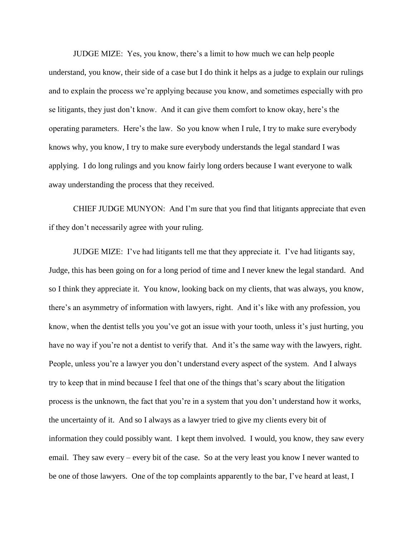JUDGE MIZE: Yes, you know, there's a limit to how much we can help people understand, you know, their side of a case but I do think it helps as a judge to explain our rulings and to explain the process we're applying because you know, and sometimes especially with pro se litigants, they just don't know. And it can give them comfort to know okay, here's the operating parameters. Here's the law. So you know when I rule, I try to make sure everybody knows why, you know, I try to make sure everybody understands the legal standard I was applying. I do long rulings and you know fairly long orders because I want everyone to walk away understanding the process that they received.

CHIEF JUDGE MUNYON: And I'm sure that you find that litigants appreciate that even if they don't necessarily agree with your ruling.

JUDGE MIZE: I've had litigants tell me that they appreciate it. I've had litigants say, Judge, this has been going on for a long period of time and I never knew the legal standard. And so I think they appreciate it. You know, looking back on my clients, that was always, you know, there's an asymmetry of information with lawyers, right. And it's like with any profession, you know, when the dentist tells you you've got an issue with your tooth, unless it's just hurting, you have no way if you're not a dentist to verify that. And it's the same way with the lawyers, right. People, unless you're a lawyer you don't understand every aspect of the system. And I always try to keep that in mind because I feel that one of the things that's scary about the litigation process is the unknown, the fact that you're in a system that you don't understand how it works, the uncertainty of it. And so I always as a lawyer tried to give my clients every bit of information they could possibly want. I kept them involved. I would, you know, they saw every email. They saw every – every bit of the case. So at the very least you know I never wanted to be one of those lawyers. One of the top complaints apparently to the bar, I've heard at least, I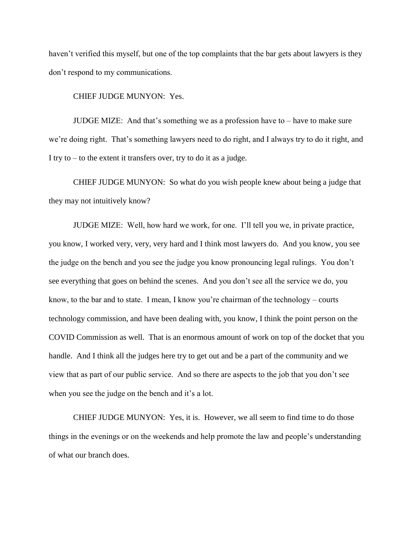haven't verified this myself, but one of the top complaints that the bar gets about lawyers is they don't respond to my communications.

CHIEF JUDGE MUNYON: Yes.

JUDGE MIZE: And that's something we as a profession have to – have to make sure we're doing right. That's something lawyers need to do right, and I always try to do it right, and I try to – to the extent it transfers over, try to do it as a judge.

CHIEF JUDGE MUNYON: So what do you wish people knew about being a judge that they may not intuitively know?

JUDGE MIZE: Well, how hard we work, for one. I'll tell you we, in private practice, you know, I worked very, very, very hard and I think most lawyers do. And you know, you see the judge on the bench and you see the judge you know pronouncing legal rulings. You don't see everything that goes on behind the scenes. And you don't see all the service we do, you know, to the bar and to state. I mean, I know you're chairman of the technology – courts technology commission, and have been dealing with, you know, I think the point person on the COVID Commission as well. That is an enormous amount of work on top of the docket that you handle. And I think all the judges here try to get out and be a part of the community and we view that as part of our public service. And so there are aspects to the job that you don't see when you see the judge on the bench and it's a lot.

CHIEF JUDGE MUNYON: Yes, it is. However, we all seem to find time to do those things in the evenings or on the weekends and help promote the law and people's understanding of what our branch does.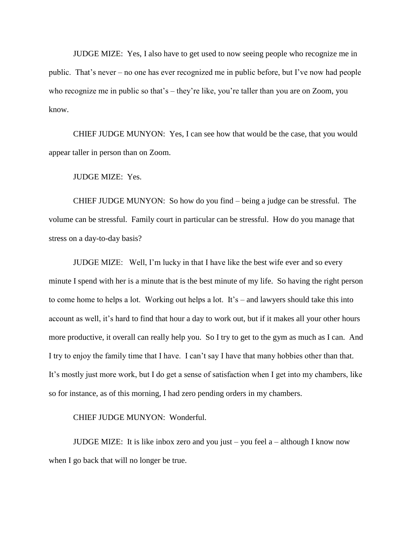JUDGE MIZE: Yes, I also have to get used to now seeing people who recognize me in public. That's never – no one has ever recognized me in public before, but I've now had people who recognize me in public so that's – they're like, you're taller than you are on Zoom, you know.

CHIEF JUDGE MUNYON: Yes, I can see how that would be the case, that you would appear taller in person than on Zoom.

JUDGE MIZE: Yes.

CHIEF JUDGE MUNYON: So how do you find – being a judge can be stressful. The volume can be stressful. Family court in particular can be stressful. How do you manage that stress on a day-to-day basis?

JUDGE MIZE: Well, I'm lucky in that I have like the best wife ever and so every minute I spend with her is a minute that is the best minute of my life. So having the right person to come home to helps a lot. Working out helps a lot. It's – and lawyers should take this into account as well, it's hard to find that hour a day to work out, but if it makes all your other hours more productive, it overall can really help you. So I try to get to the gym as much as I can. And I try to enjoy the family time that I have. I can't say I have that many hobbies other than that. It's mostly just more work, but I do get a sense of satisfaction when I get into my chambers, like so for instance, as of this morning, I had zero pending orders in my chambers.

## CHIEF JUDGE MUNYON: Wonderful.

JUDGE MIZE: It is like inbox zero and you just – you feel  $a - although I$  know now when I go back that will no longer be true.